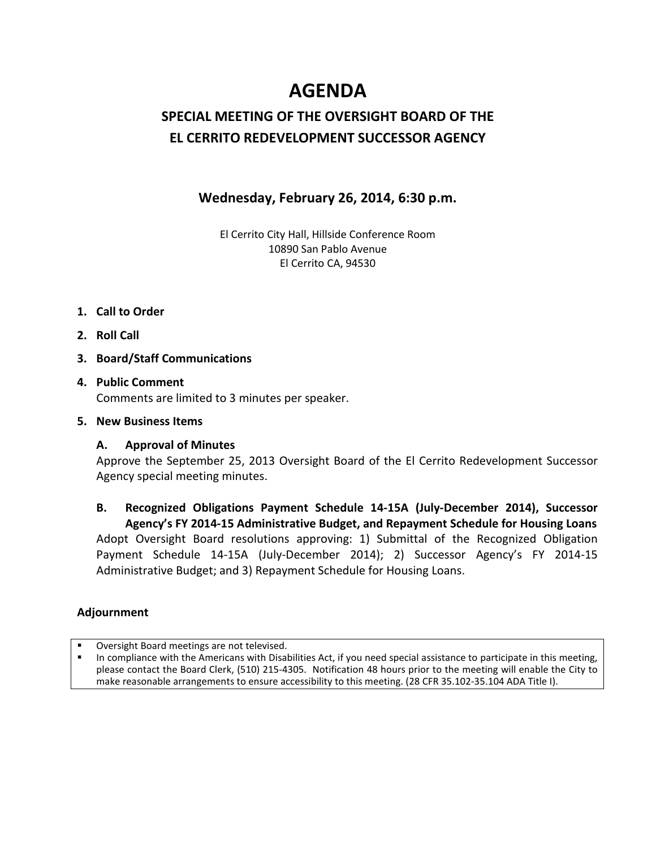# **AGENDA**

# **SPECIAL MEETING OF THE OVERSIGHT BOARD OF THE EL CERRITO REDEVELOPMENT SUCCESSOR AGENCY**

## **Wednesday, February 26, 2014, 6:30 p.m.**

El Cerrito City Hall, Hillside Conference Room 10890 San Pablo Avenue El Cerrito CA, 94530

- **1. Call to Order**
- **2. Roll Call**
- **3. Board/Staff Communications**

### **4. Public Comment**

Comments are limited to 3 minutes per speaker.

#### **5. New Business Items**

#### **A. Approval of Minutes**

Approve the September 25, 2013 Oversight Board of the El Cerrito Redevelopment Successor Agency special meeting minutes.

### **B. Recognized Obligations Payment Schedule 14-15A (July-December 2014), Successor Agency's FY 2014-15 Administrative Budget, and Repayment Schedule for Housing Loans** Adopt Oversight Board resolutions approving: 1) Submittal of the Recognized Obligation Payment Schedule 14-15A (July-December 2014); 2) Successor Agency's FY 2014-15 Administrative Budget; and 3) Repayment Schedule for Housing Loans.

### **Adjournment**

Oversight Board meetings are not televised.

 In compliance with the Americans with Disabilities Act, if you need special assistance to participate in this meeting, please contact the Board Clerk, (510) 215-4305. Notification 48 hours prior to the meeting will enable the City to make reasonable arrangements to ensure accessibility to this meeting. (28 CFR 35.102-35.104 ADA Title I).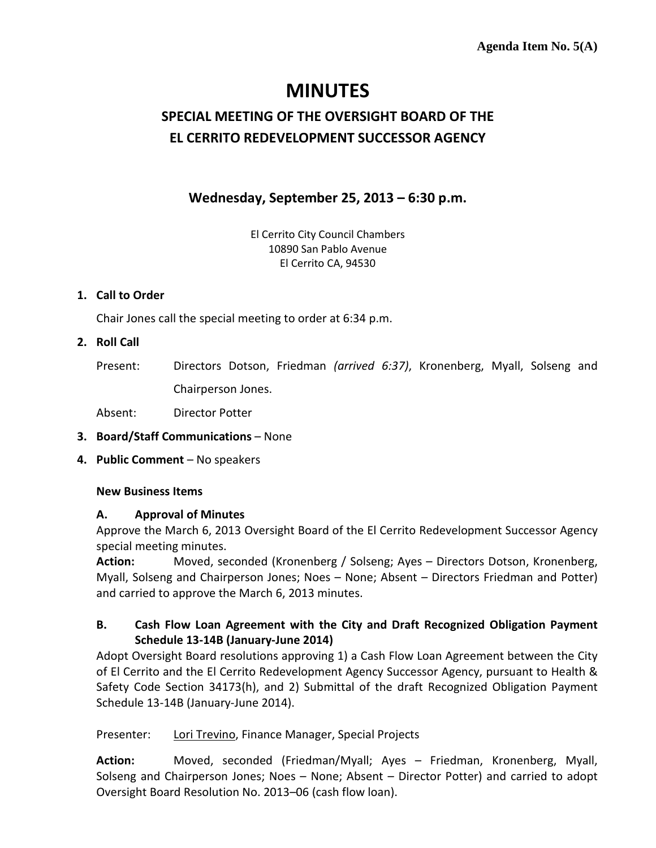# **MINUTES**

# **SPECIAL MEETING OF THE OVERSIGHT BOARD OF THE EL CERRITO REDEVELOPMENT SUCCESSOR AGENCY**

# **Wednesday, September 25, 2013 – 6:30 p.m.**

El Cerrito City Council Chambers 10890 San Pablo Avenue El Cerrito CA, 94530

#### **1. Call to Order**

Chair Jones call the special meeting to order at 6:34 p.m.

#### **2. Roll Call**

Present: Directors Dotson, Friedman *(arrived 6:37)*, Kronenberg, Myall, Solseng and Chairperson Jones.

Absent: Director Potter

#### **3. Board/Staff Communications** – None

**4. Public Comment** – No speakers

#### **New Business Items**

#### **A. Approval of Minutes**

Approve the March 6, 2013 Oversight Board of the El Cerrito Redevelopment Successor Agency special meeting minutes.

**Action:** Moved, seconded (Kronenberg / Solseng; Ayes – Directors Dotson, Kronenberg, Myall, Solseng and Chairperson Jones; Noes – None; Absent – Directors Friedman and Potter) and carried to approve the March 6, 2013 minutes.

### **B. Cash Flow Loan Agreement with the City and Draft Recognized Obligation Payment Schedule 13-14B (January-June 2014)**

Adopt Oversight Board resolutions approving 1) a Cash Flow Loan Agreement between the City of El Cerrito and the El Cerrito Redevelopment Agency Successor Agency, pursuant to Health & Safety Code Section 34173(h), and 2) Submittal of the draft Recognized Obligation Payment Schedule 13-14B (January-June 2014).

Presenter: Lori Trevino, Finance Manager, Special Projects

**Action:** Moved, seconded (Friedman/Myall; Ayes – Friedman, Kronenberg, Myall, Solseng and Chairperson Jones; Noes – None; Absent – Director Potter) and carried to adopt Oversight Board Resolution No. 2013–06 (cash flow loan).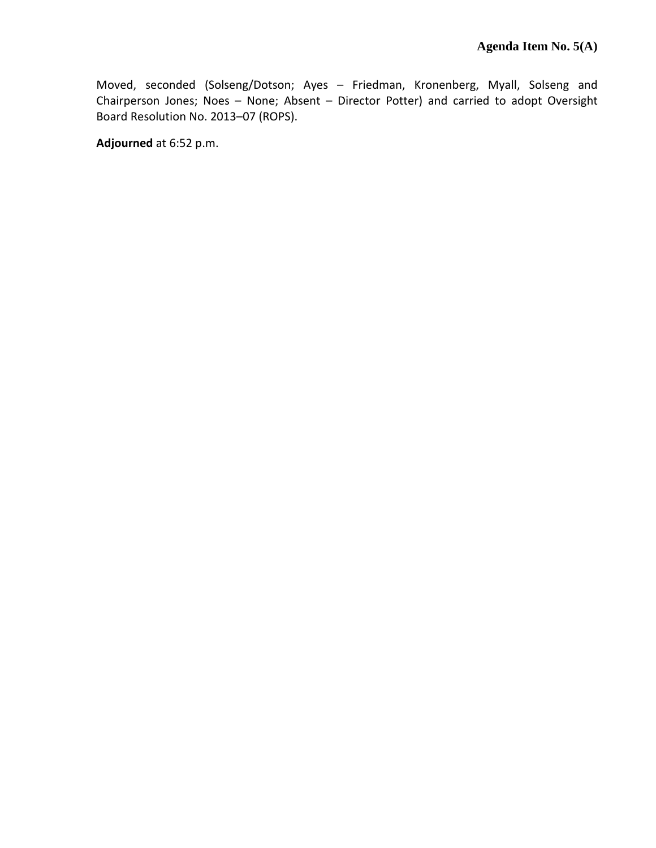Moved, seconded (Solseng/Dotson; Ayes – Friedman, Kronenberg, Myall, Solseng and Chairperson Jones; Noes – None; Absent – Director Potter) and carried to adopt Oversight Board Resolution No. 2013–07 (ROPS).

**Adjourned** at 6:52 p.m.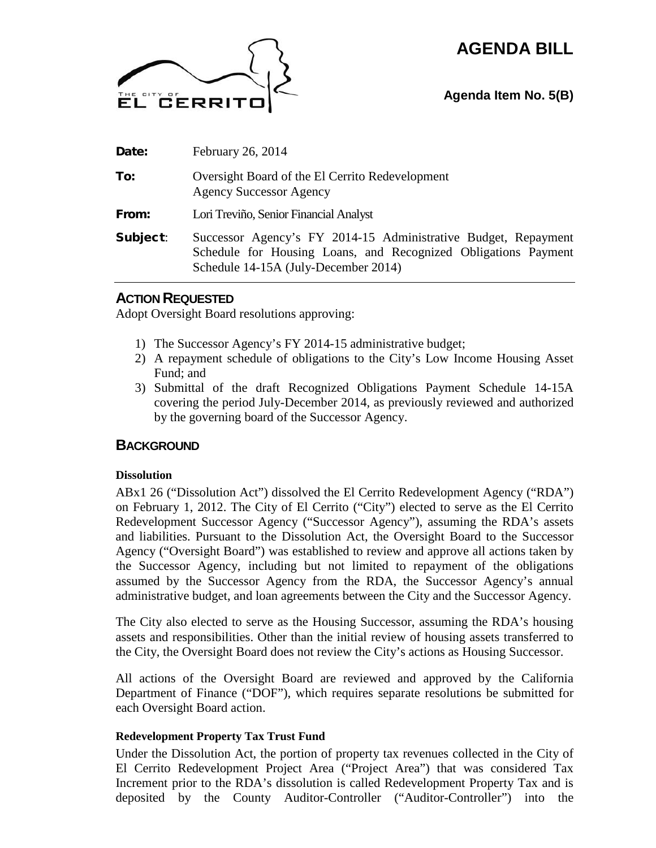# **AGENDA BILL**



**Agenda Item No. 5(B)**

| Date:    | February 26, 2014                                                                                                                                                        |
|----------|--------------------------------------------------------------------------------------------------------------------------------------------------------------------------|
| To:      | Oversight Board of the El Cerrito Redevelopment<br><b>Agency Successor Agency</b>                                                                                        |
| From:    | Lori Treviño, Senior Financial Analyst                                                                                                                                   |
| Subject: | Successor Agency's FY 2014-15 Administrative Budget, Repayment<br>Schedule for Housing Loans, and Recognized Obligations Payment<br>Schedule 14-15A (July-December 2014) |

### **ACTION REQUESTED**

Adopt Oversight Board resolutions approving:

- 1) The Successor Agency's FY 2014-15 administrative budget;
- 2) A repayment schedule of obligations to the City's Low Income Housing Asset Fund; and
- 3) Submittal of the draft Recognized Obligations Payment Schedule 14-15A covering the period July-December 2014, as previously reviewed and authorized by the governing board of the Successor Agency.

### **BACKGROUND**

#### **Dissolution**

ABx1 26 ("Dissolution Act") dissolved the El Cerrito Redevelopment Agency ("RDA") on February 1, 2012. The City of El Cerrito ("City") elected to serve as the El Cerrito Redevelopment Successor Agency ("Successor Agency"), assuming the RDA's assets and liabilities. Pursuant to the Dissolution Act, the Oversight Board to the Successor Agency ("Oversight Board") was established to review and approve all actions taken by the Successor Agency, including but not limited to repayment of the obligations assumed by the Successor Agency from the RDA, the Successor Agency's annual administrative budget, and loan agreements between the City and the Successor Agency.

The City also elected to serve as the Housing Successor, assuming the RDA's housing assets and responsibilities. Other than the initial review of housing assets transferred to the City, the Oversight Board does not review the City's actions as Housing Successor.

All actions of the Oversight Board are reviewed and approved by the California Department of Finance ("DOF"), which requires separate resolutions be submitted for each Oversight Board action.

#### **Redevelopment Property Tax Trust Fund**

Under the Dissolution Act, the portion of property tax revenues collected in the City of El Cerrito Redevelopment Project Area ("Project Area") that was considered Tax Increment prior to the RDA's dissolution is called Redevelopment Property Tax and is deposited by the County Auditor-Controller ("Auditor-Controller") into the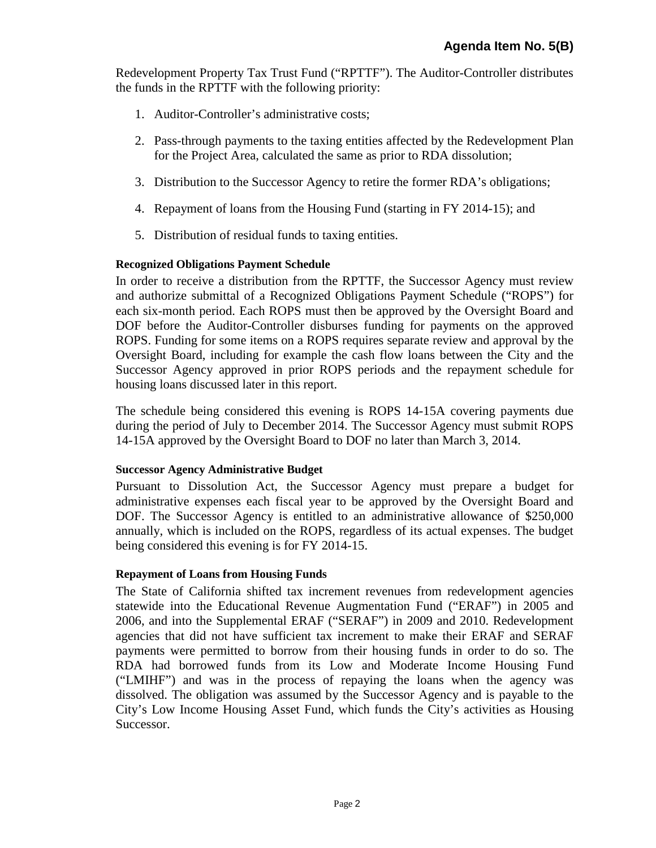Redevelopment Property Tax Trust Fund ("RPTTF"). The Auditor-Controller distributes the funds in the RPTTF with the following priority:

- 1. Auditor-Controller's administrative costs;
- 2. Pass-through payments to the taxing entities affected by the Redevelopment Plan for the Project Area, calculated the same as prior to RDA dissolution;
- 3. Distribution to the Successor Agency to retire the former RDA's obligations;
- 4. Repayment of loans from the Housing Fund (starting in FY 2014-15); and
- 5. Distribution of residual funds to taxing entities.

#### **Recognized Obligations Payment Schedule**

In order to receive a distribution from the RPTTF, the Successor Agency must review and authorize submittal of a Recognized Obligations Payment Schedule ("ROPS") for each six-month period. Each ROPS must then be approved by the Oversight Board and DOF before the Auditor-Controller disburses funding for payments on the approved ROPS. Funding for some items on a ROPS requires separate review and approval by the Oversight Board, including for example the cash flow loans between the City and the Successor Agency approved in prior ROPS periods and the repayment schedule for housing loans discussed later in this report.

The schedule being considered this evening is ROPS 14-15A covering payments due during the period of July to December 2014. The Successor Agency must submit ROPS 14-15A approved by the Oversight Board to DOF no later than March 3, 2014.

#### **Successor Agency Administrative Budget**

Pursuant to Dissolution Act, the Successor Agency must prepare a budget for administrative expenses each fiscal year to be approved by the Oversight Board and DOF. The Successor Agency is entitled to an administrative allowance of \$250,000 annually, which is included on the ROPS, regardless of its actual expenses. The budget being considered this evening is for FY 2014-15.

#### **Repayment of Loans from Housing Funds**

The State of California shifted tax increment revenues from redevelopment agencies statewide into the Educational Revenue Augmentation Fund ("ERAF") in 2005 and 2006, and into the Supplemental ERAF ("SERAF") in 2009 and 2010. Redevelopment agencies that did not have sufficient tax increment to make their ERAF and SERAF payments were permitted to borrow from their housing funds in order to do so. The RDA had borrowed funds from its Low and Moderate Income Housing Fund ("LMIHF") and was in the process of repaying the loans when the agency was dissolved. The obligation was assumed by the Successor Agency and is payable to the City's Low Income Housing Asset Fund, which funds the City's activities as Housing Successor.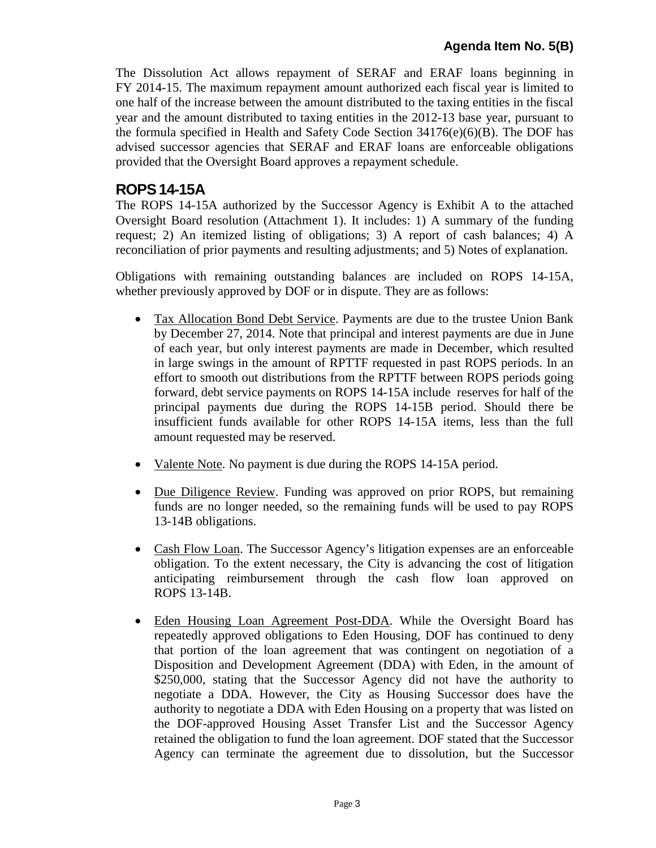The Dissolution Act allows repayment of SERAF and ERAF loans beginning in FY 2014-15. The maximum repayment amount authorized each fiscal year is limited to one half of the increase between the amount distributed to the taxing entities in the fiscal year and the amount distributed to taxing entities in the 2012-13 base year, pursuant to the formula specified in Health and Safety Code Section 34176(e)(6)(B). The DOF has advised successor agencies that SERAF and ERAF loans are enforceable obligations provided that the Oversight Board approves a repayment schedule.

# **ROPS14-15A**

The ROPS 14-15A authorized by the Successor Agency is Exhibit A to the attached Oversight Board resolution (Attachment 1). It includes: 1) A summary of the funding request; 2) An itemized listing of obligations; 3) A report of cash balances; 4) A reconciliation of prior payments and resulting adjustments; and 5) Notes of explanation.

Obligations with remaining outstanding balances are included on ROPS 14-15A, whether previously approved by DOF or in dispute. They are as follows:

- Tax Allocation Bond Debt Service. Payments are due to the trustee Union Bank by December 27, 2014. Note that principal and interest payments are due in June of each year, but only interest payments are made in December, which resulted in large swings in the amount of RPTTF requested in past ROPS periods. In an effort to smooth out distributions from the RPTTF between ROPS periods going forward, debt service payments on ROPS 14-15A include reserves for half of the principal payments due during the ROPS 14-15B period. Should there be insufficient funds available for other ROPS 14-15A items, less than the full amount requested may be reserved.
- Valente Note. No payment is due during the ROPS 14-15A period.
- Due Diligence Review. Funding was approved on prior ROPS, but remaining funds are no longer needed, so the remaining funds will be used to pay ROPS 13-14B obligations.
- Cash Flow Loan. The Successor Agency's litigation expenses are an enforceable obligation. To the extent necessary, the City is advancing the cost of litigation anticipating reimbursement through the cash flow loan approved on ROPS 13-14B.
- Eden Housing Loan Agreement Post-DDA. While the Oversight Board has repeatedly approved obligations to Eden Housing, DOF has continued to deny that portion of the loan agreement that was contingent on negotiation of a Disposition and Development Agreement (DDA) with Eden, in the amount of \$250,000, stating that the Successor Agency did not have the authority to negotiate a DDA. However, the City as Housing Successor does have the authority to negotiate a DDA with Eden Housing on a property that was listed on the DOF-approved Housing Asset Transfer List and the Successor Agency retained the obligation to fund the loan agreement. DOF stated that the Successor Agency can terminate the agreement due to dissolution, but the Successor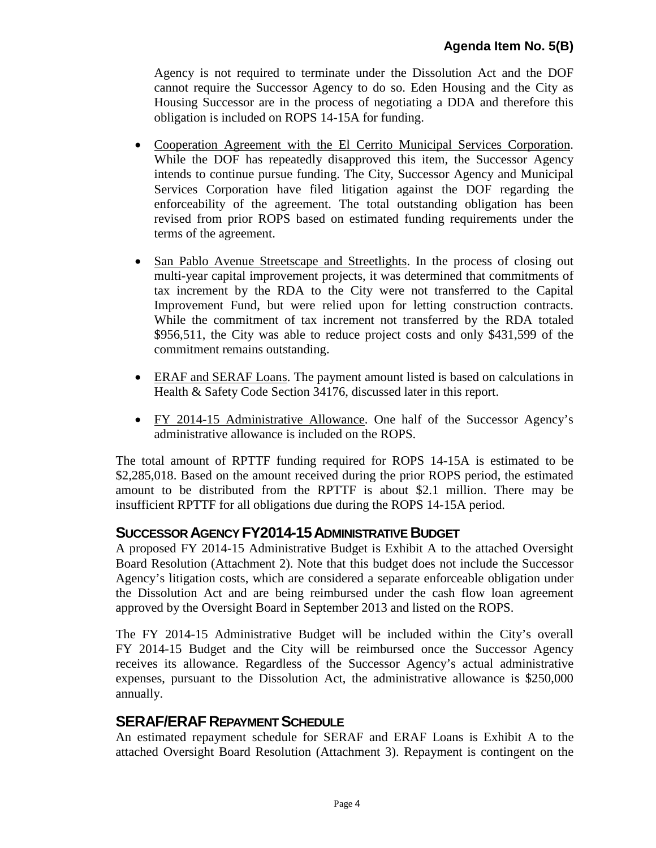Agency is not required to terminate under the Dissolution Act and the DOF cannot require the Successor Agency to do so. Eden Housing and the City as Housing Successor are in the process of negotiating a DDA and therefore this obligation is included on ROPS 14-15A for funding.

- Cooperation Agreement with the El Cerrito Municipal Services Corporation. While the DOF has repeatedly disapproved this item, the Successor Agency intends to continue pursue funding. The City, Successor Agency and Municipal Services Corporation have filed litigation against the DOF regarding the enforceability of the agreement. The total outstanding obligation has been revised from prior ROPS based on estimated funding requirements under the terms of the agreement.
- San Pablo Avenue Streetscape and Streetlights. In the process of closing out multi-year capital improvement projects, it was determined that commitments of tax increment by the RDA to the City were not transferred to the Capital Improvement Fund, but were relied upon for letting construction contracts. While the commitment of tax increment not transferred by the RDA totaled \$956,511, the City was able to reduce project costs and only \$431,599 of the commitment remains outstanding.
- ERAF and SERAF Loans. The payment amount listed is based on calculations in Health & Safety Code Section 34176, discussed later in this report.
- FY 2014-15 Administrative Allowance. One half of the Successor Agency's administrative allowance is included on the ROPS.

The total amount of RPTTF funding required for ROPS 14-15A is estimated to be \$2,285,018. Based on the amount received during the prior ROPS period, the estimated amount to be distributed from the RPTTF is about \$2.1 million. There may be insufficient RPTTF for all obligations due during the ROPS 14-15A period.

## **SUCCESSOR AGENCY FY2014-15ADMINISTRATIVE BUDGET**

A proposed FY 2014-15 Administrative Budget is Exhibit A to the attached Oversight Board Resolution (Attachment 2). Note that this budget does not include the Successor Agency's litigation costs, which are considered a separate enforceable obligation under the Dissolution Act and are being reimbursed under the cash flow loan agreement approved by the Oversight Board in September 2013 and listed on the ROPS.

The FY 2014-15 Administrative Budget will be included within the City's overall FY 2014-15 Budget and the City will be reimbursed once the Successor Agency receives its allowance. Regardless of the Successor Agency's actual administrative expenses, pursuant to the Dissolution Act, the administrative allowance is \$250,000 annually.

### **SERAF/ERAF REPAYMENT SCHEDULE**

An estimated repayment schedule for SERAF and ERAF Loans is Exhibit A to the attached Oversight Board Resolution (Attachment 3). Repayment is contingent on the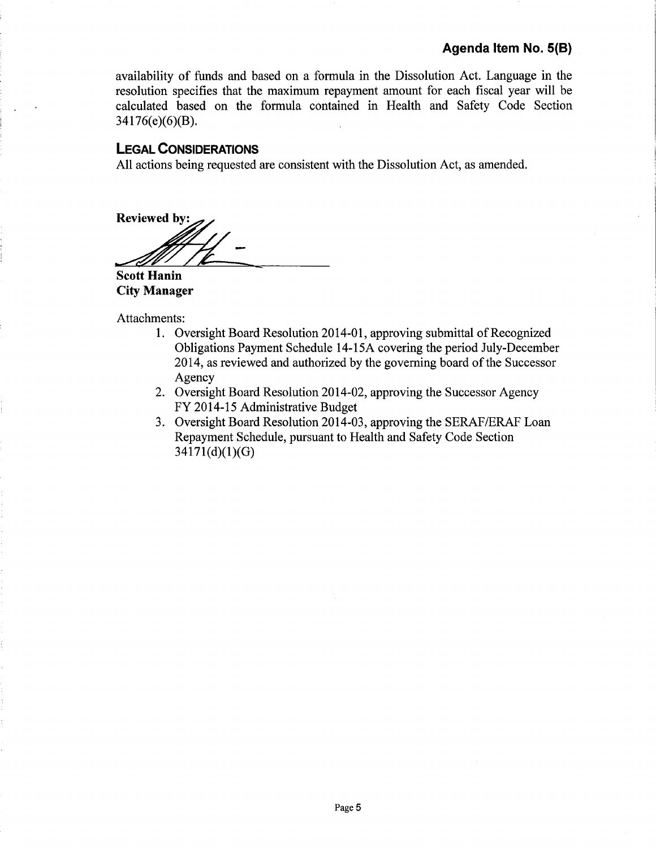availability of funds and based on a formula in the Dissolution Act. Language in the resolution specifies that the maximum repayment amount for each fiscal year will be calculated based on the formula contained in Health and Safety Code Section 34176(e)(6)(B).

#### **LEGAL CONSIDERATIONS**

All actions being requested are consistent with the Dissolution Act, as amended.

**Reviewed by:** 

**Scott Hanin City Manager** 

Attachments:

- 1. Oversight Board Resolution 2014-01, approving submittal of Recognized Obligations Payment Schedule 14-15A covering the period July-December 2014, as reviewed and authorized by the governing board of the Successor Agency
- 2. Oversight Board Resolution 2014-02, approving the Successor Agency FY 2014-15 Administrative Budget
- 3. Oversight Board Resolution 2014-03, approving the SERAF/ERAF Loan Repayment Schedule, pursuant to Health and Safety Code Section 34171(d)(1)(G)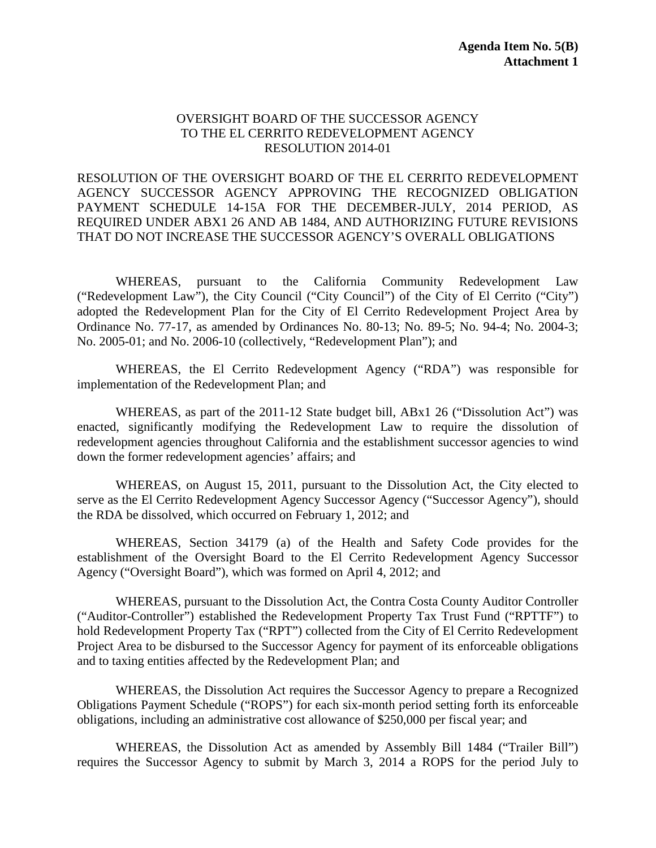#### OVERSIGHT BOARD OF THE SUCCESSOR AGENCY TO THE EL CERRITO REDEVELOPMENT AGENCY RESOLUTION 2014-01

RESOLUTION OF THE OVERSIGHT BOARD OF THE EL CERRITO REDEVELOPMENT AGENCY SUCCESSOR AGENCY APPROVING THE RECOGNIZED OBLIGATION PAYMENT SCHEDULE 14-15A FOR THE DECEMBER-JULY, 2014 PERIOD, AS REQUIRED UNDER ABX1 26 AND AB 1484, AND AUTHORIZING FUTURE REVISIONS THAT DO NOT INCREASE THE SUCCESSOR AGENCY'S OVERALL OBLIGATIONS

WHEREAS, pursuant to the California Community Redevelopment Law ("Redevelopment Law"), the City Council ("City Council") of the City of El Cerrito ("City") adopted the Redevelopment Plan for the City of El Cerrito Redevelopment Project Area by Ordinance No. 77-17, as amended by Ordinances No. 80-13; No. 89-5; No. 94-4; No. 2004-3; No. 2005-01; and No. 2006-10 (collectively, "Redevelopment Plan"); and

WHEREAS, the El Cerrito Redevelopment Agency ("RDA") was responsible for implementation of the Redevelopment Plan; and

WHEREAS, as part of the 2011-12 State budget bill, ABx1 26 ("Dissolution Act") was enacted, significantly modifying the Redevelopment Law to require the dissolution of redevelopment agencies throughout California and the establishment successor agencies to wind down the former redevelopment agencies' affairs; and

WHEREAS, on August 15, 2011, pursuant to the Dissolution Act, the City elected to serve as the El Cerrito Redevelopment Agency Successor Agency ("Successor Agency"), should the RDA be dissolved, which occurred on February 1, 2012; and

WHEREAS, Section 34179 (a) of the Health and Safety Code provides for the establishment of the Oversight Board to the El Cerrito Redevelopment Agency Successor Agency ("Oversight Board"), which was formed on April 4, 2012; and

WHEREAS, pursuant to the Dissolution Act, the Contra Costa County Auditor Controller ("Auditor-Controller") established the Redevelopment Property Tax Trust Fund ("RPTTF") to hold Redevelopment Property Tax ("RPT") collected from the City of El Cerrito Redevelopment Project Area to be disbursed to the Successor Agency for payment of its enforceable obligations and to taxing entities affected by the Redevelopment Plan; and

WHEREAS, the Dissolution Act requires the Successor Agency to prepare a Recognized Obligations Payment Schedule ("ROPS") for each six-month period setting forth its enforceable obligations, including an administrative cost allowance of \$250,000 per fiscal year; and

WHEREAS, the Dissolution Act as amended by Assembly Bill 1484 ("Trailer Bill") requires the Successor Agency to submit by March 3, 2014 a ROPS for the period July to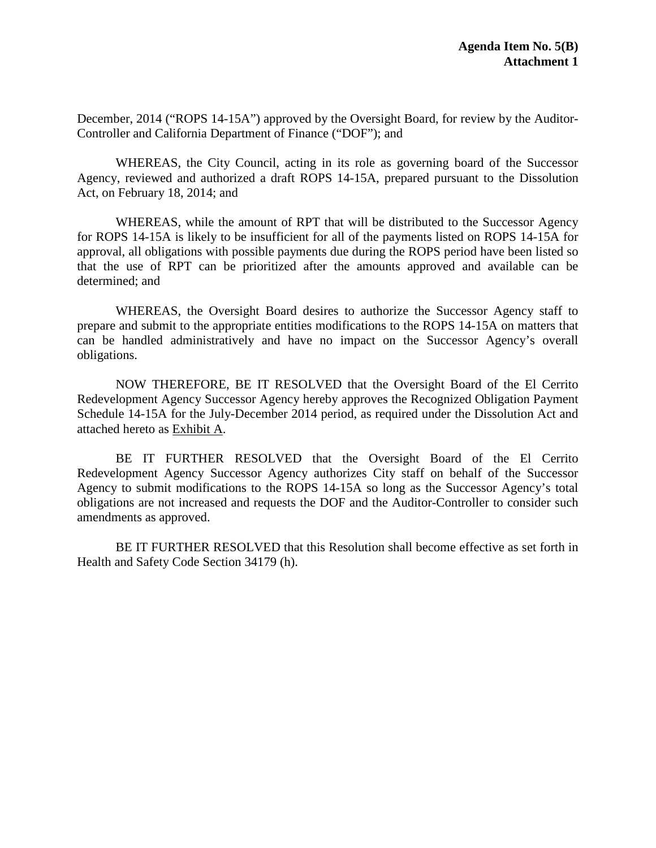December, 2014 ("ROPS 14-15A") approved by the Oversight Board, for review by the Auditor-Controller and California Department of Finance ("DOF"); and

WHEREAS, the City Council, acting in its role as governing board of the Successor Agency, reviewed and authorized a draft ROPS 14-15A, prepared pursuant to the Dissolution Act, on February 18, 2014; and

WHEREAS, while the amount of RPT that will be distributed to the Successor Agency for ROPS 14-15A is likely to be insufficient for all of the payments listed on ROPS 14-15A for approval, all obligations with possible payments due during the ROPS period have been listed so that the use of RPT can be prioritized after the amounts approved and available can be determined; and

WHEREAS, the Oversight Board desires to authorize the Successor Agency staff to prepare and submit to the appropriate entities modifications to the ROPS 14-15A on matters that can be handled administratively and have no impact on the Successor Agency's overall obligations.

NOW THEREFORE, BE IT RESOLVED that the Oversight Board of the El Cerrito Redevelopment Agency Successor Agency hereby approves the Recognized Obligation Payment Schedule 14-15A for the July-December 2014 period, as required under the Dissolution Act and attached hereto as Exhibit A.

BE IT FURTHER RESOLVED that the Oversight Board of the El Cerrito Redevelopment Agency Successor Agency authorizes City staff on behalf of the Successor Agency to submit modifications to the ROPS 14-15A so long as the Successor Agency's total obligations are not increased and requests the DOF and the Auditor-Controller to consider such amendments as approved.

BE IT FURTHER RESOLVED that this Resolution shall become effective as set forth in Health and Safety Code Section 34179 (h).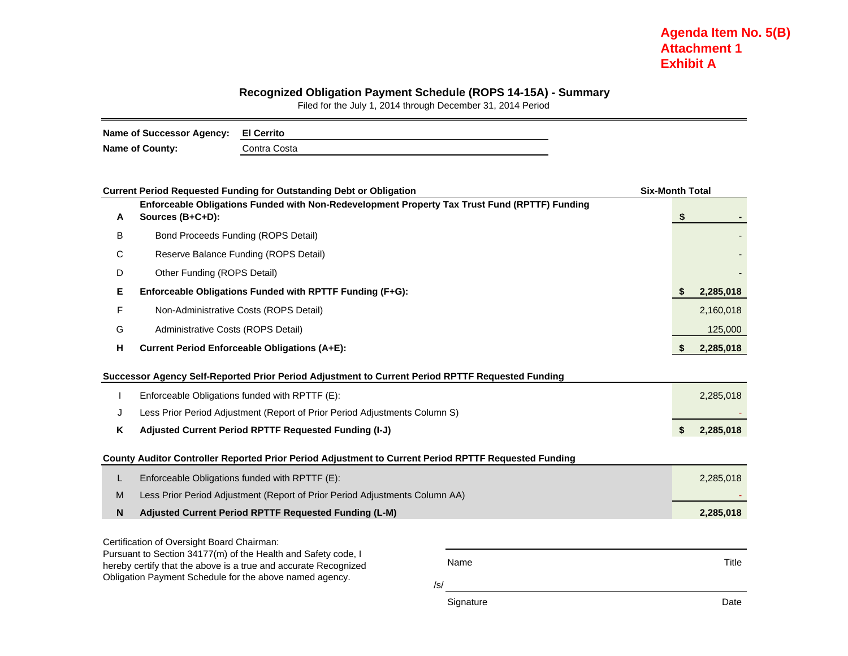#### **Recognized Obligation Payment Schedule (ROPS 14-15A) - Summary**

Filed for the July 1, 2014 through December 31, 2014 Period

| Name of Successor Agency: El Cerrito |              |
|--------------------------------------|--------------|
| <b>Name of County:</b>               | Contra Costa |

|   | <b>Current Period Requested Funding for Outstanding Debt or Obligation</b>                                                 |                  | <b>Six-Month Total</b> |           |  |  |  |  |  |
|---|----------------------------------------------------------------------------------------------------------------------------|------------------|------------------------|-----------|--|--|--|--|--|
| Α | Enforceable Obligations Funded with Non-Redevelopment Property Tax Trust Fund (RPTTF) Funding<br>Sources (B+C+D):          |                  | \$                     |           |  |  |  |  |  |
| B | Bond Proceeds Funding (ROPS Detail)                                                                                        |                  |                        |           |  |  |  |  |  |
| С | Reserve Balance Funding (ROPS Detail)                                                                                      |                  |                        |           |  |  |  |  |  |
| D | Other Funding (ROPS Detail)                                                                                                |                  |                        |           |  |  |  |  |  |
| Е | Enforceable Obligations Funded with RPTTF Funding (F+G):                                                                   |                  | S                      | 2,285,018 |  |  |  |  |  |
| F | Non-Administrative Costs (ROPS Detail)                                                                                     |                  |                        | 2,160,018 |  |  |  |  |  |
| G | Administrative Costs (ROPS Detail)                                                                                         |                  |                        | 125,000   |  |  |  |  |  |
| н | <b>Current Period Enforceable Obligations (A+E):</b>                                                                       |                  |                        |           |  |  |  |  |  |
|   | Successor Agency Self-Reported Prior Period Adjustment to Current Period RPTTF Requested Funding                           |                  |                        |           |  |  |  |  |  |
|   | Enforceable Obligations funded with RPTTF (E):                                                                             |                  |                        | 2,285,018 |  |  |  |  |  |
| J | Less Prior Period Adjustment (Report of Prior Period Adjustments Column S)                                                 |                  |                        |           |  |  |  |  |  |
| Κ | Adjusted Current Period RPTTF Requested Funding (I-J)                                                                      |                  | \$                     | 2,285,018 |  |  |  |  |  |
|   | County Auditor Controller Reported Prior Period Adjustment to Current Period RPTTF Requested Funding                       |                  |                        |           |  |  |  |  |  |
| L | Enforceable Obligations funded with RPTTF (E):                                                                             |                  |                        | 2,285,018 |  |  |  |  |  |
| M | Less Prior Period Adjustment (Report of Prior Period Adjustments Column AA)                                                |                  |                        |           |  |  |  |  |  |
| N | Adjusted Current Period RPTTF Requested Funding (L-M)                                                                      |                  |                        | 2,285,018 |  |  |  |  |  |
|   | Certification of Oversight Board Chairman:                                                                                 |                  |                        |           |  |  |  |  |  |
|   | Pursuant to Section 34177(m) of the Health and Safety code, I                                                              | Name             |                        | Title     |  |  |  |  |  |
|   | hereby certify that the above is a true and accurate Recognized<br>Obligation Payment Schedule for the above named agency. |                  |                        |           |  |  |  |  |  |
|   |                                                                                                                            |                  |                        |           |  |  |  |  |  |
|   |                                                                                                                            | /s/<br>Signature |                        | Date      |  |  |  |  |  |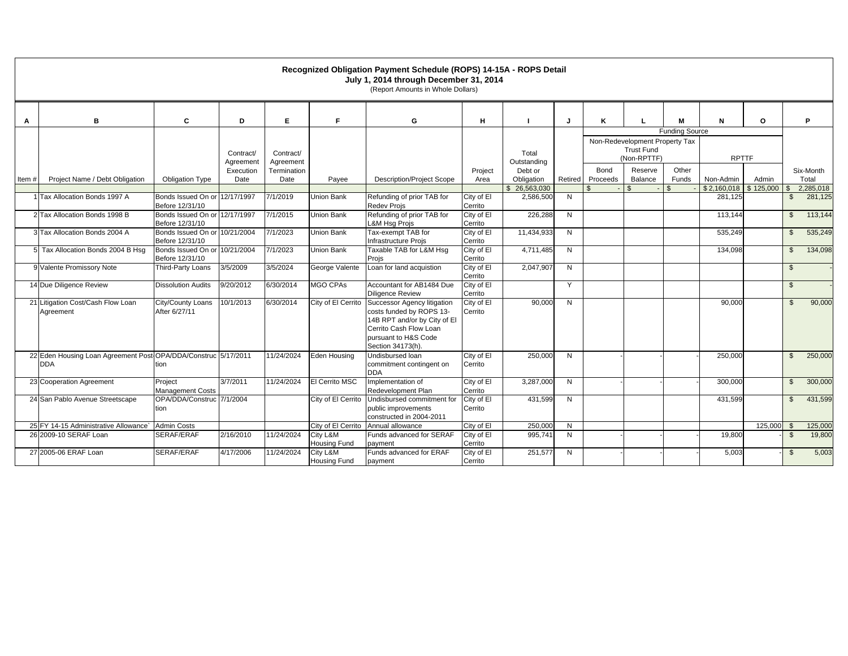| Recognized Obligation Payment Schedule (ROPS) 14-15A - ROPS Detail<br>July 1, 2014 through December 31, 2014<br>(Report Amounts in Whole Dollars) |                                                                              |                                                  |                        |                        |                                 |                                                                                                                                                                |                       |                           |         |                  |                                                                                             |                |                        |           |                |                      |  |  |
|---------------------------------------------------------------------------------------------------------------------------------------------------|------------------------------------------------------------------------------|--------------------------------------------------|------------------------|------------------------|---------------------------------|----------------------------------------------------------------------------------------------------------------------------------------------------------------|-----------------------|---------------------------|---------|------------------|---------------------------------------------------------------------------------------------|----------------|------------------------|-----------|----------------|----------------------|--|--|
| A                                                                                                                                                 | B                                                                            | C                                                | D                      | Е                      | F                               | G                                                                                                                                                              | н                     |                           | J       | K                |                                                                                             | м              | N                      | O         |                | P                    |  |  |
|                                                                                                                                                   |                                                                              |                                                  | Contract/<br>Agreement | Contract/<br>Agreement |                                 |                                                                                                                                                                |                       | Total<br>Outstanding      |         |                  | <b>Funding Source</b><br>Non-Redevelopment Property Tax<br><b>Trust Fund</b><br>(Non-RPTTF) |                |                        |           | <b>RPTTF</b>   |                      |  |  |
| Item#                                                                                                                                             | Project Name / Debt Obligation                                               | <b>Obligation Type</b>                           | Execution<br>Date      | Termination<br>Date    | Payee                           | <b>Description/Project Scope</b>                                                                                                                               | Project<br>Area       | Debt or<br>Obligation     | Retired | Bond<br>Proceeds | Reserve<br>Balance                                                                          | Other<br>Funds | Non-Admin              | Admin     |                | Six-Month<br>Total   |  |  |
|                                                                                                                                                   | 1 Tax Allocation Bonds 1997 A                                                | Bonds Issued On or 12/17/1997<br>Before 12/31/10 |                        | 7/1/2019               | Union Bank                      | Refunding of prior TAB for<br><b>Redev Projs</b>                                                                                                               | City of El<br>Cerrito | \$26,563,030<br>2,586,500 | N       |                  | $\mathfrak{L}$                                                                              |                | \$2,160,018<br>281,125 | \$125,000 | \$<br>\$       | 2,285,018<br>281,125 |  |  |
|                                                                                                                                                   | 2 Tax Allocation Bonds 1998 B                                                | Bonds Issued On or 12/17/1997<br>Before 12/31/10 |                        | 7/1/2015               | Union Bank                      | Refunding of prior TAB for<br><b>L&amp;M Hsg Projs</b>                                                                                                         | City of El<br>Cerrito | 226,288                   | N       |                  |                                                                                             |                | 113,144                |           | $\mathbb{S}$   | 113,144              |  |  |
|                                                                                                                                                   | 3 Tax Allocation Bonds 2004 A                                                | Bonds Issued On or 10/21/2004<br>Before 12/31/10 |                        | 7/1/2023               | Union Bank                      | Tax-exempt TAB for<br>Infrastructure Projs                                                                                                                     | City of El<br>Cerrito | 11,434,933                | N       |                  |                                                                                             |                | 535,249                |           | $\mathbb{S}$   | 535,249              |  |  |
|                                                                                                                                                   | 5 Tax Allocation Bonds 2004 B Hsq                                            | Bonds Issued On or 10/21/2004<br>Before 12/31/10 |                        | 7/1/2023               | <b>Union Bank</b>               | Taxable TAB for L&M Hsq<br>Projs                                                                                                                               | City of El<br>Cerrito | 4,711,485                 | N       |                  |                                                                                             |                | 134,098                |           | $\mathbb{S}$   | 134,098              |  |  |
|                                                                                                                                                   | 9 Valente Promissory Note                                                    | Third-Party Loans                                | 3/5/2009               | 3/5/2024               | George Valente                  | Loan for land acquistion                                                                                                                                       | City of El<br>Cerrito | 2,047,907                 | N       |                  |                                                                                             |                |                        |           | $\mathbb{S}$   |                      |  |  |
|                                                                                                                                                   | 14 Due Diligence Review                                                      | <b>Dissolution Audits</b>                        | 9/20/2012              | 6/30/2014              | <b>MGO CPAs</b>                 | Accountant for AB1484 Due<br><b>Diligence Review</b>                                                                                                           | City of El<br>Cerrito |                           | Y       |                  |                                                                                             |                |                        |           | $\mathfrak{S}$ |                      |  |  |
|                                                                                                                                                   | 21 Litigation Cost/Cash Flow Loan<br>Agreement                               | City/County Loans<br>After 6/27/11               | 10/1/2013              | 6/30/2014              | City of El Cerrito              | Successor Agency litigation<br>costs funded by ROPS 13-<br>14B RPT and/or by City of El<br>Cerrito Cash Flow Loan<br>pursuant to H&S Code<br>Section 34173(h). | City of El<br>Cerrito | 90,000                    | N       |                  |                                                                                             |                | 90,000                 |           | $\mathbb{S}$   | 90,000               |  |  |
|                                                                                                                                                   | 22 Eden Housing Loan Agreement Post OPA/DDA/Construc 5/17/2011<br><b>DDA</b> | tion                                             |                        | 11/24/2024             | Eden Housing                    | Undisbursed loan<br>commitment contingent on<br><b>DDA</b>                                                                                                     | City of El<br>Cerrito | 250.000                   | N       |                  |                                                                                             |                | 250.000                |           | $\mathbb{S}$   | 250,000              |  |  |
|                                                                                                                                                   | 23 Cooperation Agreement                                                     | Project<br><b>Management Costs</b>               | 3/7/2011               | 11/24/2024             | El Cerrito MSC                  | Implementation of<br>Redevelopment Plan                                                                                                                        | City of El<br>Cerrito | 3,287,000                 | N       |                  |                                                                                             |                | 300,000                |           | \$             | 300,000              |  |  |
|                                                                                                                                                   | 24 San Pablo Avenue Streetscape                                              | OPA/DDA/Construc 7/1/2004<br>tion                |                        |                        | City of El Cerrito              | Undisbursed commitment for<br>public improvements<br>constructed in 2004-2011                                                                                  | City of El<br>Cerrito | 431,599                   | N       |                  |                                                                                             |                | 431,599                |           | $\mathbb{S}$   | 431,599              |  |  |
|                                                                                                                                                   | 25 FY 14-15 Administrative Allowance                                         | <b>Admin Costs</b>                               |                        |                        | City of El Cerrito              | Annual allowance                                                                                                                                               | City of El            | 250,000                   | N       |                  |                                                                                             |                |                        | 125,000   | $\mathbf{s}$   | 125,000              |  |  |
|                                                                                                                                                   | 26 2009-10 SERAF Loan                                                        | <b>SERAF/ERAF</b>                                | 2/16/2010              | 11/24/2024             | City L&M<br><b>Housing Fund</b> | Funds advanced for SERAF<br>payment                                                                                                                            | City of El<br>Cerrito | 995,741                   | N       |                  |                                                                                             |                | 19,800                 |           | $\mathbb{S}$   | 19,800               |  |  |
|                                                                                                                                                   | 27 2005-06 ERAF Loan                                                         | <b>SERAF/ERAF</b>                                | 4/17/2006              | 11/24/2024             | City L&M<br><b>Housing Fund</b> | Funds advanced for ERAF<br>payment                                                                                                                             | City of El<br>Cerrito | 251,577                   | N       |                  |                                                                                             |                | 5,003                  |           | $\mathbb{S}$   | 5,003                |  |  |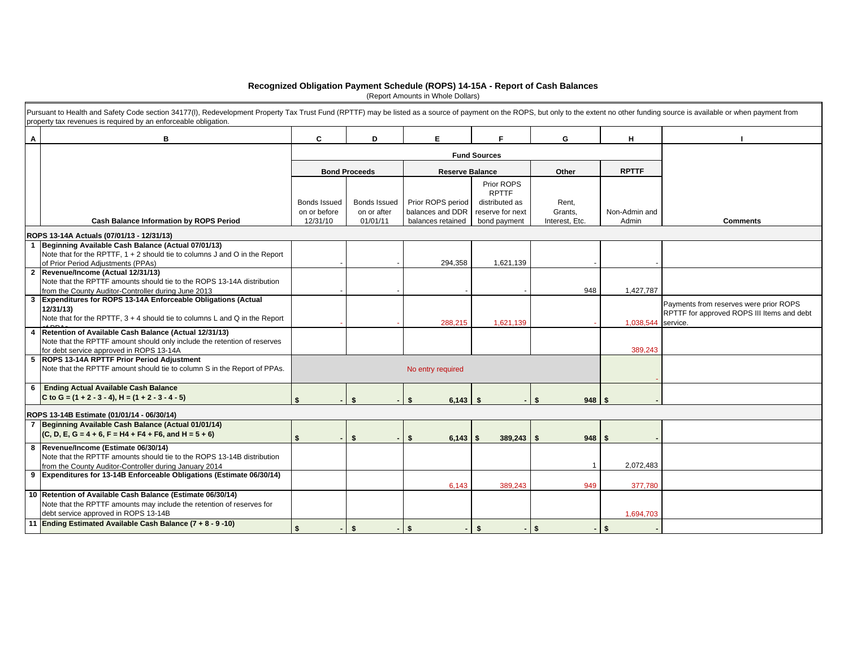#### **Recognized Obligation Payment Schedule (ROPS) 14-15A - Report of Cash Balances**

(Report Amounts in Whole Dollars)

|    | Pursuant to Health and Safety Code section 34177(I), Redevelopment Property Tax Trust Fund (RPTTF) may be listed as a source of payment on the ROPS, but only to the extent no other funding source is available or when payme<br>property tax revenues is required by an enforceable obligation. |                              |                             |                                       |                                    |                  |                    |                                            |
|----|---------------------------------------------------------------------------------------------------------------------------------------------------------------------------------------------------------------------------------------------------------------------------------------------------|------------------------------|-----------------------------|---------------------------------------|------------------------------------|------------------|--------------------|--------------------------------------------|
| A  | в                                                                                                                                                                                                                                                                                                 | C                            | D                           | E                                     | F.                                 | G                | H.                 |                                            |
|    |                                                                                                                                                                                                                                                                                                   |                              |                             |                                       | <b>Fund Sources</b>                |                  |                    |                                            |
|    |                                                                                                                                                                                                                                                                                                   |                              | <b>Bond Proceeds</b>        | <b>Reserve Balance</b>                |                                    | Other            | <b>RPTTF</b>       |                                            |
|    |                                                                                                                                                                                                                                                                                                   |                              |                             |                                       | Prior ROPS<br><b>RPTTF</b>         |                  |                    |                                            |
|    |                                                                                                                                                                                                                                                                                                   | Bonds Issued<br>on or before | Bonds Issued<br>on or after | Prior ROPS period<br>balances and DDR | distributed as<br>reserve for next | Rent,<br>Grants, | Non-Admin and      |                                            |
|    | <b>Cash Balance Information by ROPS Period</b>                                                                                                                                                                                                                                                    | 12/31/10                     | 01/01/11                    | balances retained                     | bond payment                       | Interest, Etc.   | Admin              | <b>Comments</b>                            |
|    | ROPS 13-14A Actuals (07/01/13 - 12/31/13)                                                                                                                                                                                                                                                         |                              |                             |                                       |                                    |                  |                    |                                            |
| -1 | Beginning Available Cash Balance (Actual 07/01/13)                                                                                                                                                                                                                                                |                              |                             |                                       |                                    |                  |                    |                                            |
|    | Note that for the RPTTF, 1 + 2 should tie to columns J and O in the Report                                                                                                                                                                                                                        |                              |                             | 294,358                               | 1,621,139                          |                  |                    |                                            |
|    | of Prior Period Adjustments (PPAs)<br>2 Revenue/Income (Actual 12/31/13)                                                                                                                                                                                                                          |                              |                             |                                       |                                    |                  |                    |                                            |
|    | Note that the RPTTF amounts should tie to the ROPS 13-14A distribution                                                                                                                                                                                                                            |                              |                             |                                       |                                    |                  |                    |                                            |
|    | from the County Auditor-Controller during June 2013                                                                                                                                                                                                                                               |                              |                             |                                       |                                    | 948              | 1,427,787          |                                            |
|    | 3 Expenditures for ROPS 13-14A Enforceable Obligations (Actual                                                                                                                                                                                                                                    |                              |                             |                                       |                                    |                  |                    | Payments from reserves were prior ROPS     |
|    | 12/31/13)<br>Note that for the RPTTF, 3 + 4 should tie to columns L and Q in the Report                                                                                                                                                                                                           |                              |                             | 288,215                               | 1,621,139                          |                  | 1,038,544 service. | RPTTF for approved ROPS III Items and debt |
|    | Retention of Available Cash Balance (Actual 12/31/13)                                                                                                                                                                                                                                             |                              |                             |                                       |                                    |                  |                    |                                            |
|    | Note that the RPTTF amount should only include the retention of reserves<br>for debt service approved in ROPS 13-14A                                                                                                                                                                              |                              |                             |                                       |                                    |                  | 389,243            |                                            |
|    | 5 ROPS 13-14A RPTTF Prior Period Adjustment<br>Note that the RPTTF amount should tie to column S in the Report of PPAs.                                                                                                                                                                           |                              |                             | No entry required                     |                                    |                  |                    |                                            |
|    | 6 Ending Actual Available Cash Balance                                                                                                                                                                                                                                                            |                              |                             |                                       |                                    |                  |                    |                                            |
|    | C to G = $(1 + 2 - 3 - 4)$ , H = $(1 + 2 - 3 - 4 - 5)$                                                                                                                                                                                                                                            | \$                           | -\$                         | 6,143<br>- 1                          | \$                                 | \$<br>$948$ \$   |                    |                                            |
|    | ROPS 13-14B Estimate (01/01/14 - 06/30/14)                                                                                                                                                                                                                                                        |                              |                             |                                       |                                    |                  |                    |                                            |
|    | 7 Beginning Available Cash Balance (Actual 01/01/14)                                                                                                                                                                                                                                              |                              |                             |                                       |                                    |                  |                    |                                            |
|    | $(C, D, E, G = 4 + 6, F = H4 + F4 + F6,$ and $H = 5 + 6$                                                                                                                                                                                                                                          | \$                           | \$                          | 6,143<br>\$                           | $389,243$ \$<br>-\$                | $948$ \$         |                    |                                            |
|    | 8 Revenue/Income (Estimate 06/30/14)                                                                                                                                                                                                                                                              |                              |                             |                                       |                                    |                  |                    |                                            |
|    | Note that the RPTTF amounts should tie to the ROPS 13-14B distribution                                                                                                                                                                                                                            |                              |                             |                                       |                                    |                  | 2,072,483          |                                            |
|    | from the County Auditor-Controller during January 2014<br>9 Expenditures for 13-14B Enforceable Obligations (Estimate 06/30/14)                                                                                                                                                                   |                              |                             |                                       |                                    |                  |                    |                                            |
|    |                                                                                                                                                                                                                                                                                                   |                              |                             | 6,143                                 | 389,243                            | 949              | 377,780            |                                            |
|    | 10 Retention of Available Cash Balance (Estimate 06/30/14)                                                                                                                                                                                                                                        |                              |                             |                                       |                                    |                  |                    |                                            |
|    | Note that the RPTTF amounts may include the retention of reserves for                                                                                                                                                                                                                             |                              |                             |                                       |                                    |                  |                    |                                            |
|    | debt service approved in ROPS 13-14B<br>11 Ending Estimated Available Cash Balance (7 + 8 - 9 -10)                                                                                                                                                                                                |                              |                             |                                       |                                    |                  | 1,694,703          |                                            |
|    |                                                                                                                                                                                                                                                                                                   | \$                           | \$                          | \$                                    | \$                                 | - 8              | $-1$ \$            |                                            |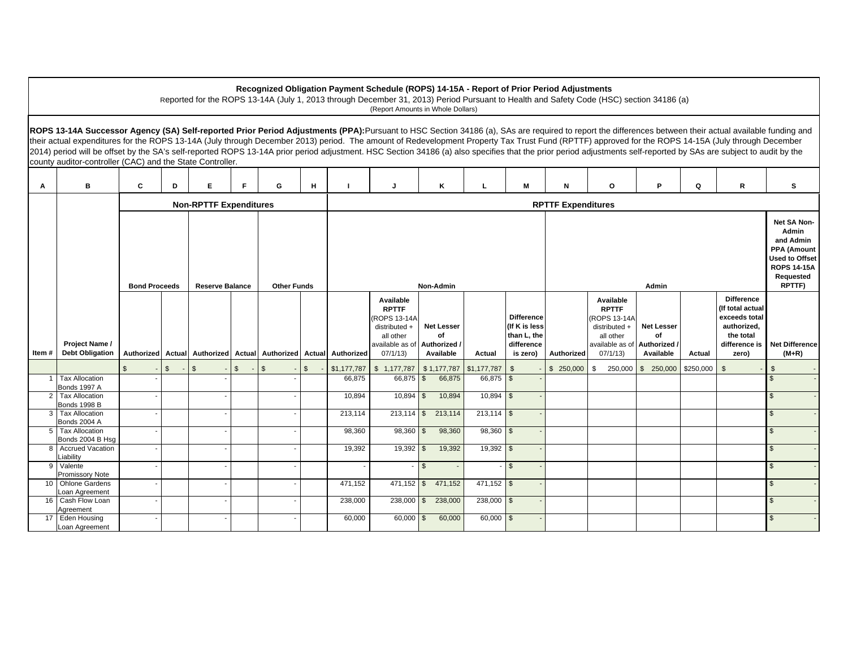#### **Recognized Obligation Payment Schedule (ROPS) 14-15A - Report of Prior Period Adjustments**

Reported for the ROPS 13-14A (July 1, 2013 through December 31, 2013) Period Pursuant to Health and Safety Code (HSC) section 34186 (a) (Report Amounts in Whole Dollars)

ROPS 13-14A Successor Agency (SA) Self-reported Prior Period Adjustments (PPA): Pursuant to HSC Section 34186 (a), SAs are required to report the differences between their actual available funding and their actual expenditures for the ROPS 13-14A (July through December 2013) period. The amount of Redevelopment Property Tax Trust Fund (RPTTF) approved for the ROPS 14-15A (July through December 2014) period will be offset by the SA's self-reported ROPS 13-14A prior period adjustment. HSC Section 34186 (a) also specifies that the prior period adjustments self-reported by SAs are subject to audit by the county auditor-controller (CAC) and the State Controller. ┯

| Α               | в                                            | C                                                                                 | D                             | Е       | F            | G       | н            |                                                                  | J                                                                                                                | Κ                                    |                        | м                                                                           | N                                                                                                                      | $\circ$                                                                                                            | P                                    | Q         | R                                                                                                            | s                         |
|-----------------|----------------------------------------------|-----------------------------------------------------------------------------------|-------------------------------|---------|--------------|---------|--------------|------------------------------------------------------------------|------------------------------------------------------------------------------------------------------------------|--------------------------------------|------------------------|-----------------------------------------------------------------------------|------------------------------------------------------------------------------------------------------------------------|--------------------------------------------------------------------------------------------------------------------|--------------------------------------|-----------|--------------------------------------------------------------------------------------------------------------|---------------------------|
|                 |                                              |                                                                                   | <b>Non-RPTTF Expenditures</b> |         |              |         |              |                                                                  | <b>RPTTF Expenditures</b>                                                                                        |                                      |                        |                                                                             |                                                                                                                        |                                                                                                                    |                                      |           |                                                                                                              |                           |
|                 |                                              | Non-Admin<br><b>Bond Proceeds</b><br><b>Reserve Balance</b><br><b>Other Funds</b> |                               |         |              |         | Admin        |                                                                  |                                                                                                                  |                                      |                        |                                                                             | Net SA Non-<br>Admin<br>and Admin<br>PPA (Amount<br><b>Used to Offset</b><br><b>ROPS 14-15A</b><br>Requested<br>RPTTF) |                                                                                                                    |                                      |           |                                                                                                              |                           |
| Item #          | Project Name /<br><b>Debt Obligation</b>     |                                                                                   |                               |         |              |         |              | Authorized Actual Authorized Actual Authorized Actual Authorized | Available<br><b>RPTTF</b><br>(ROPS 13-14A<br>distributed +<br>all other<br>available as of Authorized<br>07/1/13 | <b>Net Lesser</b><br>of<br>Available | Actual                 | <b>Difference</b><br>(If K is less<br>than L, the<br>difference<br>is zero) | Authorized                                                                                                             | Available<br><b>RPTTF</b><br>(ROPS 13-14A<br>distributed +<br>all other<br>available as of Authorized /<br>07/1/13 | <b>Net Lesser</b><br>of<br>Available | Actual    | <b>Difference</b><br>(If total actual<br>exceeds total<br>authorized,<br>the total<br>difference is<br>zero) | Net Difference<br>$(M+R)$ |
|                 |                                              |                                                                                   | $\mathbb{S}$                  | $-1$ \$ | $\mathbb{S}$ | $-1$ \$ | $\mathbb{S}$ | \$1,177,787                                                      | $$1,177,787$ $$1,177,787$ $$1,177,787$                                                                           |                                      |                        | $\mathfrak{s}$                                                              | \$250,000                                                                                                              | 250,000<br>\$                                                                                                      | 250,000<br>$\mathbb{S}$              | \$250,000 | \$                                                                                                           | $\mathfrak{S}$            |
| 1 I             | <b>Tax Allocation</b><br><b>Bonds 1997 A</b> |                                                                                   |                               |         |              |         |              | 66,875                                                           | $66,875$ \$                                                                                                      | 66,875                               | 66,875 \$              |                                                                             |                                                                                                                        |                                                                                                                    |                                      |           |                                                                                                              |                           |
| 2 <sup>1</sup>  | <b>Tax Allocation</b><br><b>Bonds 1998 B</b> |                                                                                   |                               |         |              |         |              | 10,894                                                           | $10,894$ \$                                                                                                      | 10,894                               | $10,894$ \$            |                                                                             |                                                                                                                        |                                                                                                                    |                                      |           |                                                                                                              | $\mathfrak{S}$            |
|                 | 3 Tax Allocation<br>Bonds 2004 A             |                                                                                   |                               |         |              |         |              | 213,114                                                          | $213,114$ \$                                                                                                     | 213,114                              | $213,114$ \$           |                                                                             |                                                                                                                        |                                                                                                                    |                                      |           |                                                                                                              | $\mathfrak{L}$            |
|                 | 5 Tax Allocation<br>Bonds 2004 B Hsq         |                                                                                   |                               |         |              |         |              | 98,360                                                           | $98,360$ \$                                                                                                      | 98,360                               | 98,360                 | $\sqrt{3}$                                                                  |                                                                                                                        |                                                                                                                    |                                      |           |                                                                                                              | $\mathfrak{S}$            |
| 8               | <b>Accrued Vacation</b><br>Liability         |                                                                                   |                               |         |              |         |              | 19,392                                                           | $19,392$ \$                                                                                                      | 19,392                               | $19,392$ \$            |                                                                             |                                                                                                                        |                                                                                                                    |                                      |           |                                                                                                              | $\mathfrak{S}$            |
|                 | 9 Valente<br>Promissory Note                 |                                                                                   |                               |         |              |         |              |                                                                  | $\sim$                                                                                                           | $\mathbf{s}$                         |                        | $\sqrt{3}$                                                                  |                                                                                                                        |                                                                                                                    |                                      |           |                                                                                                              | $\mathfrak{L}$            |
|                 | 10 Ohlone Gardens<br>Loan Agreement          |                                                                                   |                               |         |              |         |              | 471,152                                                          | $471,152$ \$                                                                                                     | 471,152                              | $\frac{1}{471,152}$ \$ |                                                                             |                                                                                                                        |                                                                                                                    |                                      |           |                                                                                                              | $\mathfrak{S}$            |
| 16              | Cash Flow Loan<br>Agreement                  |                                                                                   |                               |         |              |         |              | 238,000                                                          | $238,000$ \$                                                                                                     | 238,000                              | $238,000$ \$           |                                                                             |                                                                                                                        |                                                                                                                    |                                      |           |                                                                                                              | $\mathfrak{L}$            |
| 17 <sup>1</sup> | Eden Housing<br>Loan Agreement               |                                                                                   |                               |         |              |         |              | 60,000                                                           | $60,000$ \$                                                                                                      | 60,000                               | $60,000$ \$            |                                                                             |                                                                                                                        |                                                                                                                    |                                      |           |                                                                                                              | $\mathcal{F}$             |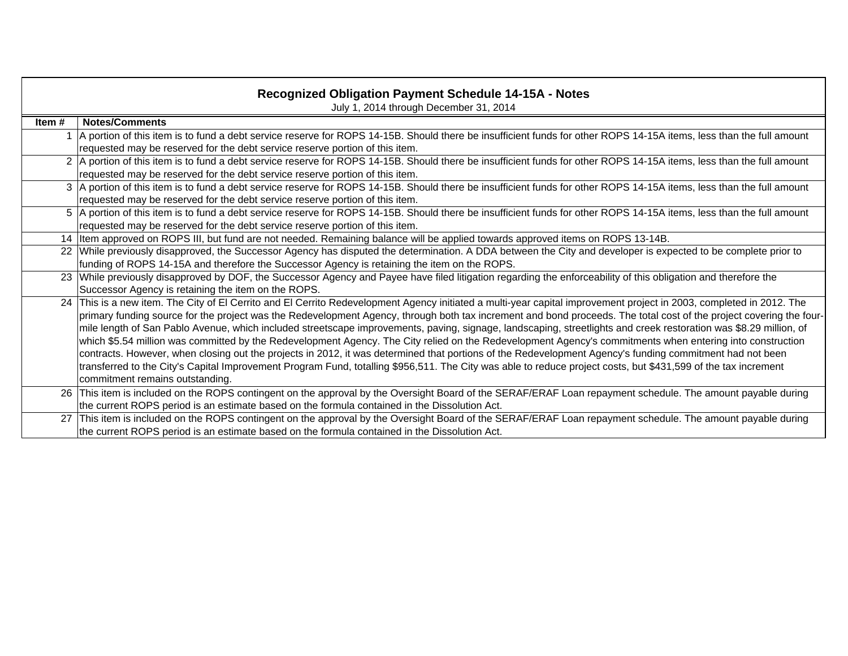|       | <b>Recognized Obligation Payment Schedule 14-15A - Notes</b><br>July 1, 2014 through December 31, 2014                                                                |
|-------|-----------------------------------------------------------------------------------------------------------------------------------------------------------------------|
| Item# | <b>Notes/Comments</b>                                                                                                                                                 |
|       | 1 A portion of this item is to fund a debt service reserve for ROPS 14-15B. Should there be insufficient funds for other ROPS 14-15A items, less than the full amount |
|       | requested may be reserved for the debt service reserve portion of this item.                                                                                          |
|       | 2 A portion of this item is to fund a debt service reserve for ROPS 14-15B. Should there be insufficient funds for other ROPS 14-15A items, less than the full amount |
|       | requested may be reserved for the debt service reserve portion of this item.                                                                                          |
|       | 3 A portion of this item is to fund a debt service reserve for ROPS 14-15B. Should there be insufficient funds for other ROPS 14-15A items, less than the full amount |
|       | requested may be reserved for the debt service reserve portion of this item.                                                                                          |
|       | 5 A portion of this item is to fund a debt service reserve for ROPS 14-15B. Should there be insufficient funds for other ROPS 14-15A items, less than the full amount |
|       | requested may be reserved for the debt service reserve portion of this item.                                                                                          |
|       | 14   Item approved on ROPS III, but fund are not needed. Remaining balance will be applied towards approved items on ROPS 13-14B.                                     |
|       | 22 While previously disapproved, the Successor Agency has disputed the determination. A DDA between the City and developer is expected to be complete prior to        |
|       | funding of ROPS 14-15A and therefore the Successor Agency is retaining the item on the ROPS.                                                                          |
|       | 23 While previously disapproved by DOF, the Successor Agency and Payee have filed litigation regarding the enforceability of this obligation and therefore the        |
|       | Successor Agency is retaining the item on the ROPS.                                                                                                                   |
|       | 24 This is a new item. The City of El Cerrito and El Cerrito Redevelopment Agency initiated a multi-year capital improvement project in 2003, completed in 2012. The  |
|       | primary funding source for the project was the Redevelopment Agency, through both tax increment and bond proceeds. The total cost of the project covering the four-   |
|       | mile length of San Pablo Avenue, which included streetscape improvements, paving, signage, landscaping, streetlights and creek restoration was \$8.29 million, of     |
|       | which \$5.54 million was committed by the Redevelopment Agency. The City relied on the Redevelopment Agency's commitments when entering into construction             |
|       | contracts. However, when closing out the projects in 2012, it was determined that portions of the Redevelopment Agency's funding commitment had not been              |
|       | transferred to the City's Capital Improvement Program Fund, totalling \$956,511. The City was able to reduce project costs, but \$431,599 of the tax increment        |
|       | commitment remains outstanding.                                                                                                                                       |
|       | 26 This item is included on the ROPS contingent on the approval by the Oversight Board of the SERAF/ERAF Loan repayment schedule. The amount payable during           |
|       | the current ROPS period is an estimate based on the formula contained in the Dissolution Act.                                                                         |
| 27    | This item is included on the ROPS contingent on the approval by the Oversight Board of the SERAF/ERAF Loan repayment schedule. The amount payable during              |
|       | the current ROPS period is an estimate based on the formula contained in the Dissolution Act.                                                                         |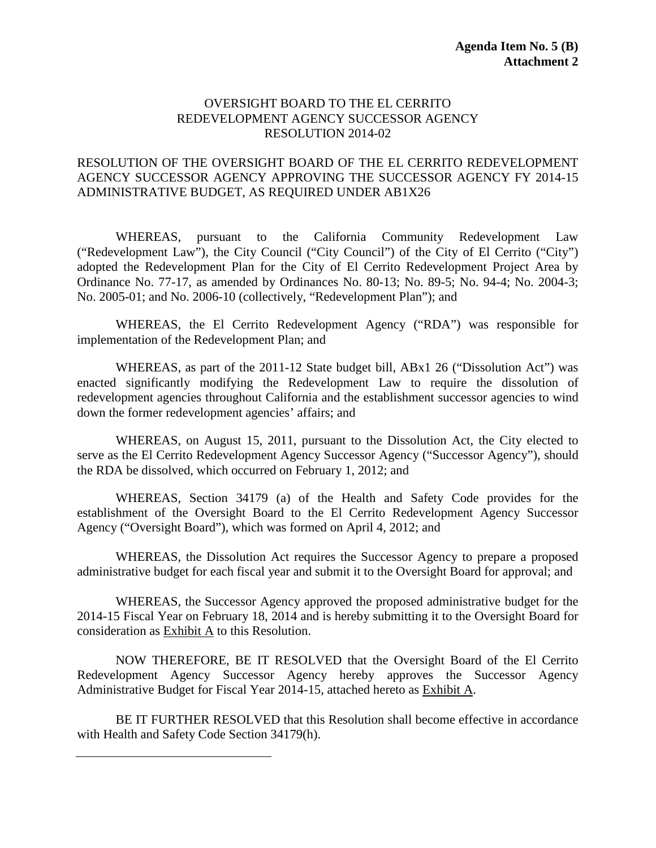#### OVERSIGHT BOARD TO THE EL CERRITO REDEVELOPMENT AGENCY SUCCESSOR AGENCY RESOLUTION 2014-02

#### RESOLUTION OF THE OVERSIGHT BOARD OF THE EL CERRITO REDEVELOPMENT AGENCY SUCCESSOR AGENCY APPROVING THE SUCCESSOR AGENCY FY 2014-15 ADMINISTRATIVE BUDGET, AS REQUIRED UNDER AB1X26

WHEREAS, pursuant to the California Community Redevelopment Law ("Redevelopment Law"), the City Council ("City Council") of the City of El Cerrito ("City") adopted the Redevelopment Plan for the City of El Cerrito Redevelopment Project Area by Ordinance No. 77-17, as amended by Ordinances No. 80-13; No. 89-5; No. 94-4; No. 2004-3; No. 2005-01; and No. 2006-10 (collectively, "Redevelopment Plan"); and

WHEREAS, the El Cerrito Redevelopment Agency ("RDA") was responsible for implementation of the Redevelopment Plan; and

WHEREAS, as part of the 2011-12 State budget bill, ABx1 26 ("Dissolution Act") was enacted significantly modifying the Redevelopment Law to require the dissolution of redevelopment agencies throughout California and the establishment successor agencies to wind down the former redevelopment agencies' affairs; and

WHEREAS, on August 15, 2011, pursuant to the Dissolution Act, the City elected to serve as the El Cerrito Redevelopment Agency Successor Agency ("Successor Agency"), should the RDA be dissolved, which occurred on February 1, 2012; and

WHEREAS, Section 34179 (a) of the Health and Safety Code provides for the establishment of the Oversight Board to the El Cerrito Redevelopment Agency Successor Agency ("Oversight Board"), which was formed on April 4, 2012; and

WHEREAS, the Dissolution Act requires the Successor Agency to prepare a proposed administrative budget for each fiscal year and submit it to the Oversight Board for approval; and

WHEREAS, the Successor Agency approved the proposed administrative budget for the 2014-15 Fiscal Year on February 18, 2014 and is hereby submitting it to the Oversight Board for consideration as Exhibit A to this Resolution.

NOW THEREFORE, BE IT RESOLVED that the Oversight Board of the El Cerrito Redevelopment Agency Successor Agency hereby approves the Successor Agency Administrative Budget for Fiscal Year 2014-15, attached hereto as Exhibit A.

BE IT FURTHER RESOLVED that this Resolution shall become effective in accordance with Health and Safety Code Section 34179(h).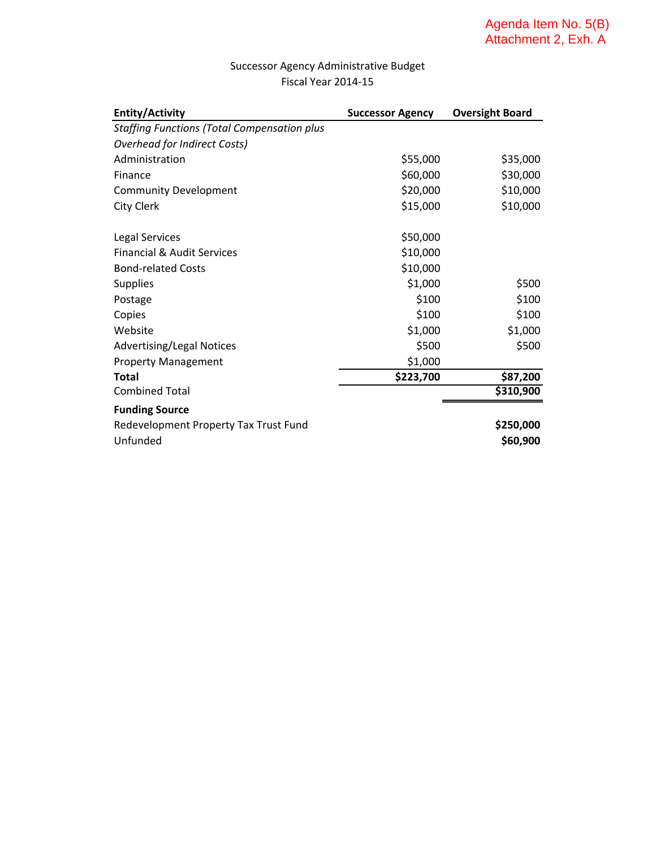### Successor Agency Administrative Budget Fiscal Year 2014‐15

| <b>Entity/Activity</b>                             | <b>Successor Agency</b> | <b>Oversight Board</b> |
|----------------------------------------------------|-------------------------|------------------------|
| <b>Staffing Functions (Total Compensation plus</b> |                         |                        |
| <b>Overhead for Indirect Costs)</b>                |                         |                        |
| Administration                                     | \$55,000                | \$35,000               |
| Finance                                            | \$60,000                | \$30,000               |
| <b>Community Development</b>                       | \$20,000                | \$10,000               |
| <b>City Clerk</b>                                  | \$15,000                | \$10,000               |
| <b>Legal Services</b>                              | \$50,000                |                        |
| <b>Financial &amp; Audit Services</b>              | \$10,000                |                        |
| <b>Bond-related Costs</b>                          | \$10,000                |                        |
| <b>Supplies</b>                                    | \$1,000                 | \$500                  |
| Postage                                            | \$100                   | \$100                  |
| Copies                                             | \$100                   | \$100                  |
| Website                                            | \$1,000                 | \$1,000                |
| <b>Advertising/Legal Notices</b>                   | \$500                   | \$500                  |
| <b>Property Management</b>                         | \$1,000                 |                        |
| <b>Total</b>                                       | \$223,700               | \$87,200               |
| <b>Combined Total</b>                              |                         | \$310,900              |
| <b>Funding Source</b>                              |                         |                        |
| Redevelopment Property Tax Trust Fund              |                         | \$250,000              |
| Unfunded                                           |                         | \$60,900               |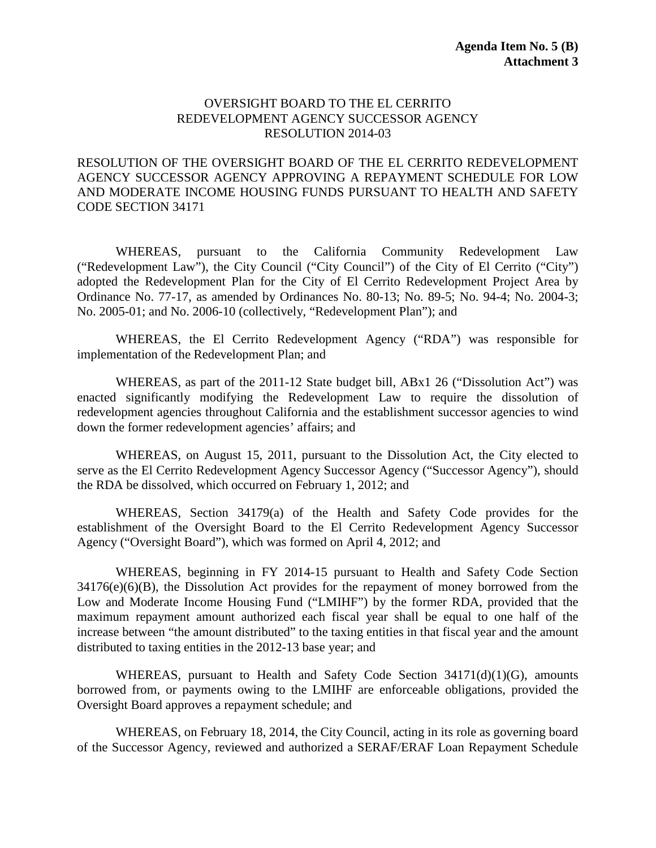#### OVERSIGHT BOARD TO THE EL CERRITO REDEVELOPMENT AGENCY SUCCESSOR AGENCY RESOLUTION 2014-03

#### RESOLUTION OF THE OVERSIGHT BOARD OF THE EL CERRITO REDEVELOPMENT AGENCY SUCCESSOR AGENCY APPROVING A REPAYMENT SCHEDULE FOR LOW AND MODERATE INCOME HOUSING FUNDS PURSUANT TO HEALTH AND SAFETY CODE SECTION 34171

WHEREAS, pursuant to the California Community Redevelopment Law ("Redevelopment Law"), the City Council ("City Council") of the City of El Cerrito ("City") adopted the Redevelopment Plan for the City of El Cerrito Redevelopment Project Area by Ordinance No. 77-17, as amended by Ordinances No. 80-13; No. 89-5; No. 94-4; No. 2004-3; No. 2005-01; and No. 2006-10 (collectively, "Redevelopment Plan"); and

WHEREAS, the El Cerrito Redevelopment Agency ("RDA") was responsible for implementation of the Redevelopment Plan; and

WHEREAS, as part of the 2011-12 State budget bill, ABx1 26 ("Dissolution Act") was enacted significantly modifying the Redevelopment Law to require the dissolution of redevelopment agencies throughout California and the establishment successor agencies to wind down the former redevelopment agencies' affairs; and

WHEREAS, on August 15, 2011, pursuant to the Dissolution Act, the City elected to serve as the El Cerrito Redevelopment Agency Successor Agency ("Successor Agency"), should the RDA be dissolved, which occurred on February 1, 2012; and

WHEREAS, Section 34179(a) of the Health and Safety Code provides for the establishment of the Oversight Board to the El Cerrito Redevelopment Agency Successor Agency ("Oversight Board"), which was formed on April 4, 2012; and

WHEREAS, beginning in FY 2014-15 pursuant to Health and Safety Code Section 34176(e)(6)(B), the Dissolution Act provides for the repayment of money borrowed from the Low and Moderate Income Housing Fund ("LMIHF") by the former RDA, provided that the maximum repayment amount authorized each fiscal year shall be equal to one half of the increase between "the amount distributed" to the taxing entities in that fiscal year and the amount distributed to taxing entities in the 2012-13 base year; and

WHEREAS, pursuant to Health and Safety Code Section  $34171(d)(1)(G)$ , amounts borrowed from, or payments owing to the LMIHF are enforceable obligations, provided the Oversight Board approves a repayment schedule; and

WHEREAS, on February 18, 2014, the City Council, acting in its role as governing board of the Successor Agency, reviewed and authorized a SERAF/ERAF Loan Repayment Schedule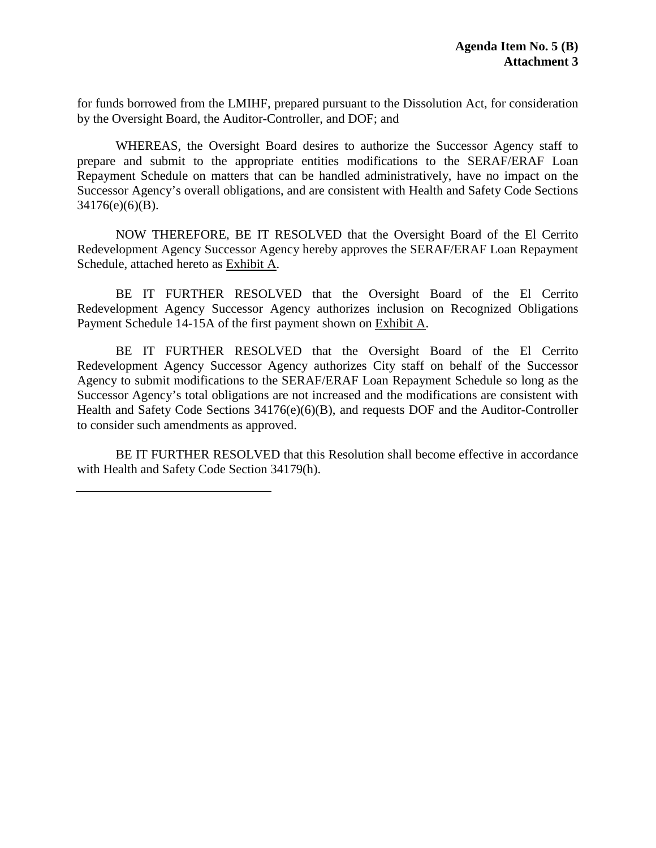for funds borrowed from the LMIHF, prepared pursuant to the Dissolution Act, for consideration by the Oversight Board, the Auditor-Controller, and DOF; and

WHEREAS, the Oversight Board desires to authorize the Successor Agency staff to prepare and submit to the appropriate entities modifications to the SERAF/ERAF Loan Repayment Schedule on matters that can be handled administratively, have no impact on the Successor Agency's overall obligations, and are consistent with Health and Safety Code Sections 34176(e)(6)(B).

NOW THEREFORE, BE IT RESOLVED that the Oversight Board of the El Cerrito Redevelopment Agency Successor Agency hereby approves the SERAF/ERAF Loan Repayment Schedule, attached hereto as Exhibit A.

BE IT FURTHER RESOLVED that the Oversight Board of the El Cerrito Redevelopment Agency Successor Agency authorizes inclusion on Recognized Obligations Payment Schedule 14-15A of the first payment shown on Exhibit A.

BE IT FURTHER RESOLVED that the Oversight Board of the El Cerrito Redevelopment Agency Successor Agency authorizes City staff on behalf of the Successor Agency to submit modifications to the SERAF/ERAF Loan Repayment Schedule so long as the Successor Agency's total obligations are not increased and the modifications are consistent with Health and Safety Code Sections 34176(e)(6)(B), and requests DOF and the Auditor-Controller to consider such amendments as approved.

BE IT FURTHER RESOLVED that this Resolution shall become effective in accordance with Health and Safety Code Section 34179(h).